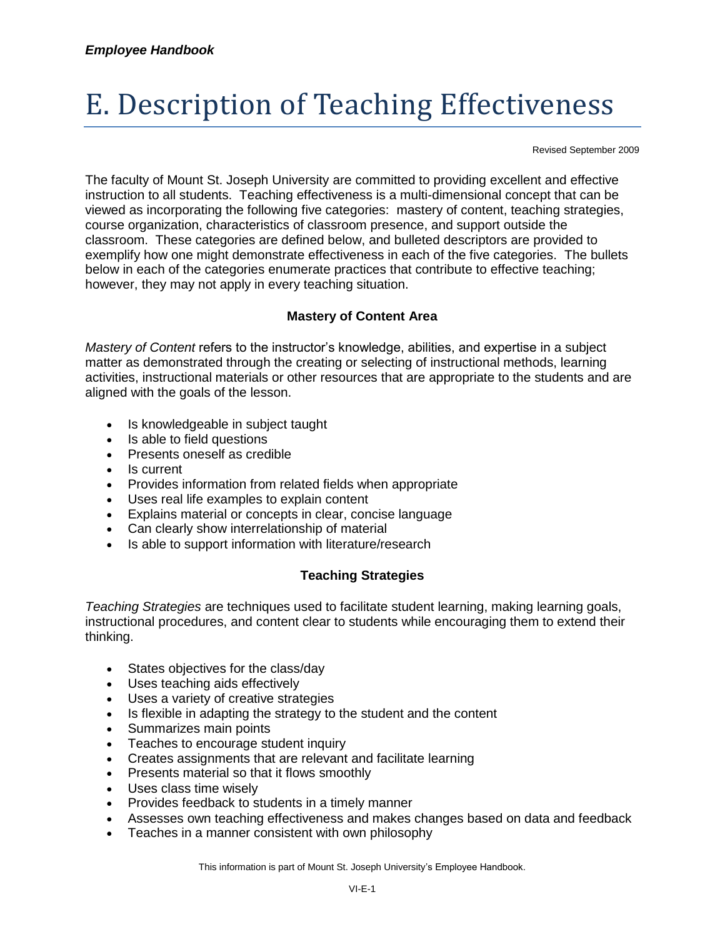# E. Description of Teaching Effectiveness

Revised September 2009

The faculty of Mount St. Joseph University are committed to providing excellent and effective instruction to all students. Teaching effectiveness is a multi-dimensional concept that can be viewed as incorporating the following five categories: mastery of content, teaching strategies, course organization, characteristics of classroom presence, and support outside the classroom. These categories are defined below, and bulleted descriptors are provided to exemplify how one might demonstrate effectiveness in each of the five categories. The bullets below in each of the categories enumerate practices that contribute to effective teaching; however, they may not apply in every teaching situation.

# **Mastery of Content Area**

*Mastery of Content* refers to the instructor's knowledge, abilities, and expertise in a subject matter as demonstrated through the creating or selecting of instructional methods, learning activities, instructional materials or other resources that are appropriate to the students and are aligned with the goals of the lesson.

- Is knowledgeable in subject taught
- Is able to field questions
- Presents oneself as credible
- Is current
- Provides information from related fields when appropriate
- Uses real life examples to explain content
- Explains material or concepts in clear, concise language
- Can clearly show interrelationship of material
- Is able to support information with literature/research

# **Teaching Strategies**

*Teaching Strategies* are techniques used to facilitate student learning, making learning goals, instructional procedures, and content clear to students while encouraging them to extend their thinking.

- States objectives for the class/day
- Uses teaching aids effectively
- Uses a variety of creative strategies
- Is flexible in adapting the strategy to the student and the content
- Summarizes main points
- Teaches to encourage student inquiry
- Creates assignments that are relevant and facilitate learning
- Presents material so that it flows smoothly
- Uses class time wisely
- Provides feedback to students in a timely manner
- Assesses own teaching effectiveness and makes changes based on data and feedback
- Teaches in a manner consistent with own philosophy